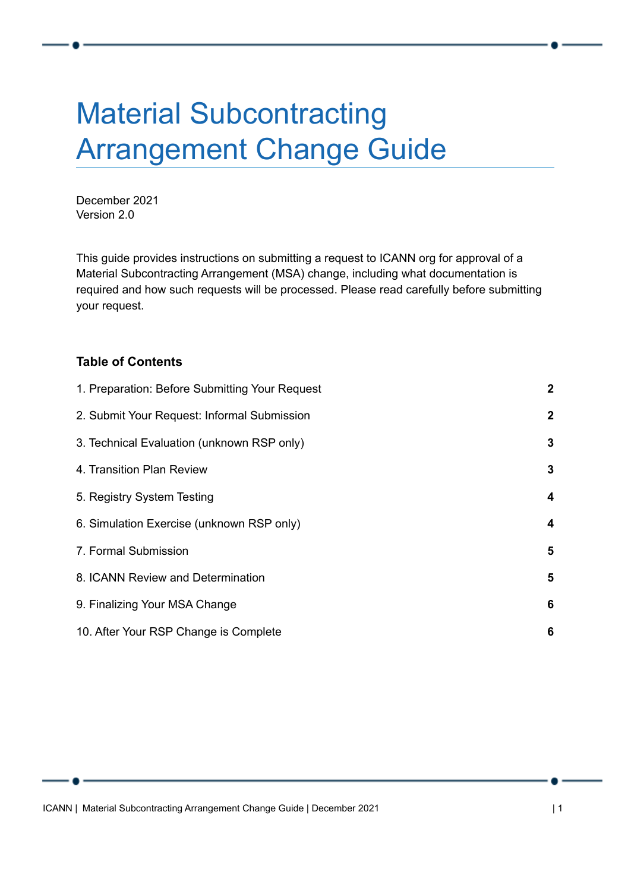# Material Subcontracting Arrangement Change Guide

December 2021 Version 2.0

This guide provides instructions on submitting a request to ICANN org for approval of a Material Subcontracting Arrangement (MSA) change, including what documentation is required and how such requests will be processed. Please read carefully before submitting your request.

#### **Table of Contents**

| 1. Preparation: Before Submitting Your Request | $\mathbf{2}$            |
|------------------------------------------------|-------------------------|
| 2. Submit Your Request: Informal Submission    | $\mathbf{2}$            |
| 3. Technical Evaluation (unknown RSP only)     | 3                       |
| 4. Transition Plan Review                      | $\mathbf{3}$            |
| 5. Registry System Testing                     | 4                       |
| 6. Simulation Exercise (unknown RSP only)      | 4                       |
| 7. Formal Submission                           | $\overline{\mathbf{5}}$ |
| 8. ICANN Review and Determination              | 5                       |
| 9. Finalizing Your MSA Change                  | 6                       |
| 10. After Your RSP Change is Complete          | 6                       |

ICANN | Material Subcontracting Arrangement Change Guide | December 2021 | 1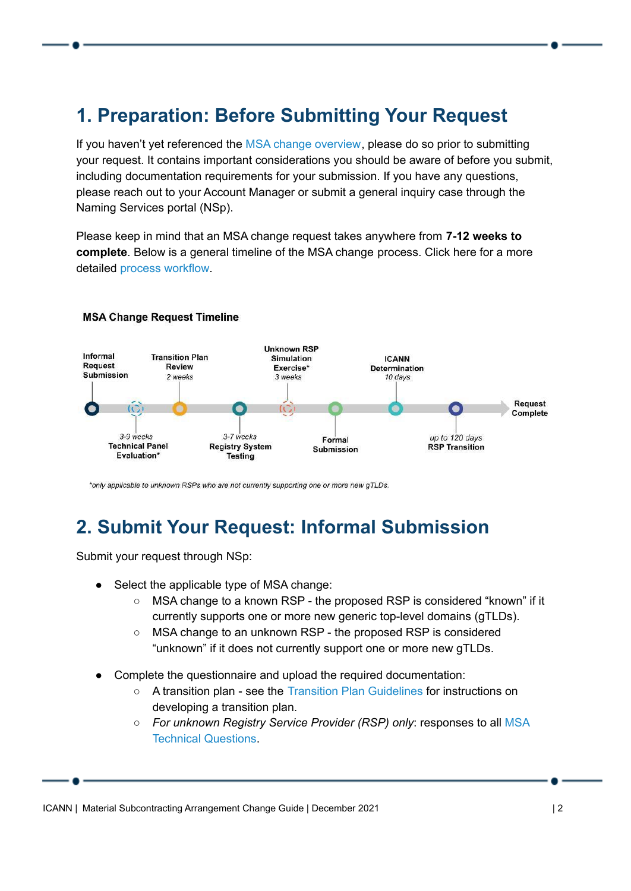# <span id="page-1-0"></span>**1. Preparation: Before Submitting Your Request**

If you haven't yet referenced the MSA change [overview](https://www.icann.org/resources/pages/material-subcontracting-arrangement-2015-10-09-en), please do so prior to submitting your request. It contains important considerations you should be aware of before you submit, including documentation requirements for your submission. If you have any questions, please reach out to your Account Manager or submit a general inquiry case through the Naming [Services](https://portal.icann.org/) portal (NSp).

Please keep in mind that an MSA change request takes anywhere from **7-12 weeks to complete**. Below is a general timeline of the MSA change process. Click here for a more detailed process [workflow.](https://www.icann.org/en/system/files/files/msa-process-workflow-09dec21-en.pdf)



#### **MSA Change Request Timeline**

\*only applicable to unknown RSPs who are not currently supporting one or more new gTLDs.

#### <span id="page-1-1"></span>**2. Submit Your Request: Informal Submission**

Submit your request through NSp:

- Select the applicable type of MSA change:
	- MSA change to a known RSP the proposed RSP is considered "known" if it currently supports one or more new generic top-level domains (gTLDs).
	- MSA change to an unknown RSP the proposed RSP is considered "unknown" if it does not currently support one or more new gTLDs.
- Complete the questionnaire and upload the required documentation:
	- A transition plan see the Transition Plan [Guidelines](https://www.icann.org/en/system/files/files/msa-change-service-transition-plan-guidelines-09dec21-en.pdf) for instructions on developing a transition plan.
	- *For unknown Registry Service Provider (RSP) only*: responses to all [MSA](https://www.icann.org/en/system/files/files/msa-technical-questions-25sep17-en.pdf) Technical [Questions](https://www.icann.org/en/system/files/files/msa-technical-questions-25sep17-en.pdf).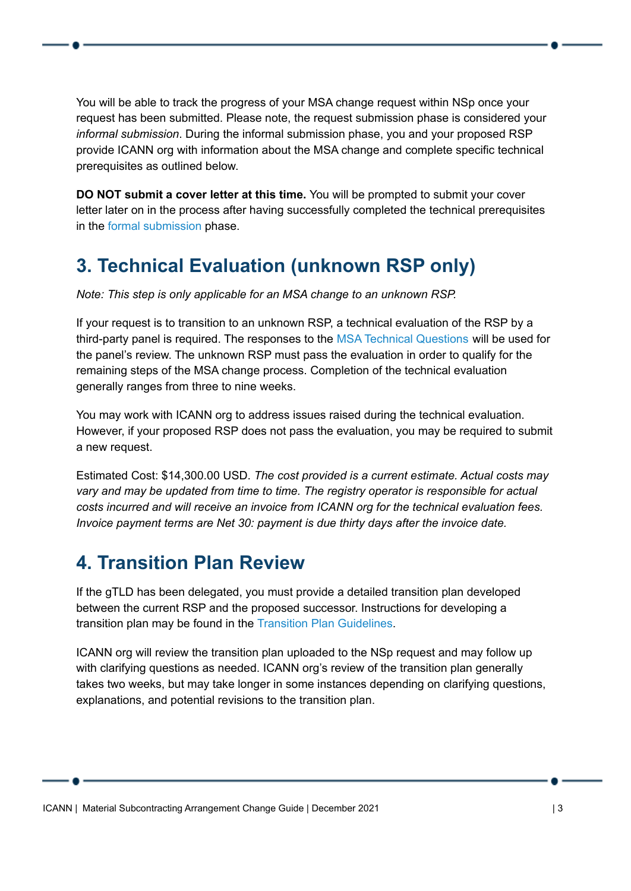You will be able to track the progress of your MSA change request within NSp once your request has been submitted. Please note, the request submission phase is considered your *informal submission*. During the informal submission phase, you and your proposed RSP provide ICANN org with information about the MSA change and complete specific technical prerequisites as outlined below.

**DO NOT submit a cover letter at this time.** You will be prompted to submit your cover letter later on in the process after having successfully completed the technical prerequisites in the formal [submission](#page-4-0) phase.

# <span id="page-2-0"></span>**3. Technical Evaluation (unknown RSP only)**

*Note: This step is only applicable for an MSA change to an unknown RSP.*

If your request is to transition to an unknown RSP, a technical evaluation of the RSP by a third-party panel is required. The responses to the MSA Technical [Questions](https://www.icann.org/en/system/files/files/msa-technical-questions-25sep17-en.pdf) will be used for the panel's review. The unknown RSP must pass the evaluation in order to qualify for the remaining steps of the MSA change process. Completion of the technical evaluation generally ranges from three to nine weeks.

You may work with ICANN org to address issues raised during the technical evaluation. However, if your proposed RSP does not pass the evaluation, you may be required to submit a new request.

Estimated Cost: \$14,300.00 USD. *The cost provided is a current estimate. Actual costs may vary and may be updated from time to time. The registry operator is responsible for actual costs incurred and will receive an invoice from ICANN org for the technical evaluation fees. Invoice payment terms are Net 30: payment is due thirty days after the invoice date.*

# <span id="page-2-1"></span>**4. Transition Plan Review**

If the gTLD has been delegated, you must provide a detailed transition plan developed between the current RSP and the proposed successor. Instructions for developing a transition plan may be found in the Transition Plan [Guidelines](https://www.icann.org/en/system/files/files/msa-change-service-transition-plan-guidelines-09dec21-en.pdf).

ICANN org will review the transition plan uploaded to the NSp request and may follow up with clarifying questions as needed. ICANN org's review of the transition plan generally takes two weeks, but may take longer in some instances depending on clarifying questions, explanations, and potential revisions to the transition plan.

ICANN | Material Subcontracting Arrangement Change Guide | December 2021 | 3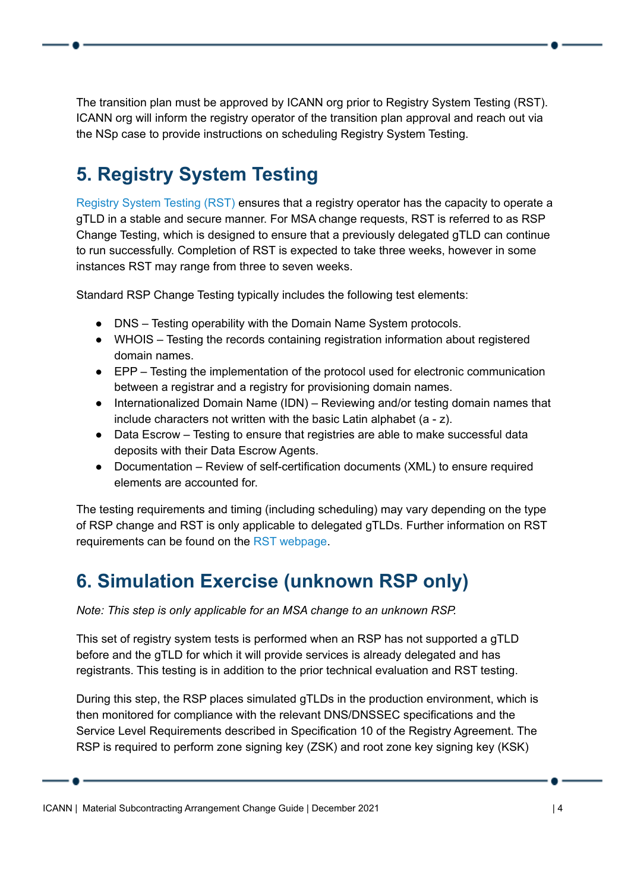The transition plan must be approved by ICANN org prior to Registry System Testing (RST). ICANN org will inform the registry operator of the transition plan approval and reach out via the NSp case to provide instructions on scheduling Registry System Testing.

# <span id="page-3-0"></span>**5. Registry System Testing**

[Registry](https://www.icann.org/resources/registry-system-testing) System Testing (RST) ensures that a registry operator has the capacity to operate a gTLD in a stable and secure manner. For MSA change requests, RST is referred to as RSP Change Testing, which is designed to ensure that a previously delegated gTLD can continue to run successfully. Completion of RST is expected to take three weeks, however in some instances RST may range from three to seven weeks.

Standard RSP Change Testing typically includes the following test elements:

- DNS Testing operability with the Domain Name System protocols.
- WHOIS Testing the records containing registration information about registered domain names.
- EPP Testing the implementation of the protocol used for electronic communication between a registrar and a registry for provisioning domain names.
- Internationalized Domain Name (IDN) Reviewing and/or testing domain names that include characters not written with the basic Latin alphabet (a - z).
- Data Escrow Testing to ensure that registries are able to make successful data deposits with their Data Escrow Agents.
- Documentation Review of self-certification documents (XML) to ensure required elements are accounted for.

The testing requirements and timing (including scheduling) may vary depending on the type of RSP change and RST is only applicable to delegated gTLDs. Further information on RST requirements can be found on the RST [webpage](https://www.icann.org/resources/registry-system-testing).

# <span id="page-3-1"></span>**6. Simulation Exercise (unknown RSP only)**

*Note: This step is only applicable for an MSA change to an unknown RSP.*

This set of registry system tests is performed when an RSP has not supported a gTLD before and the gTLD for which it will provide services is already delegated and has registrants. This testing is in addition to the prior technical evaluation and RST testing.

During this step, the RSP places simulated gTLDs in the production environment, which is then monitored for compliance with the relevant DNS/DNSSEC specifications and the Service Level Requirements described in Specification 10 of the Registry Agreement. The RSP is required to perform zone signing key (ZSK) and root zone key signing key (KSK)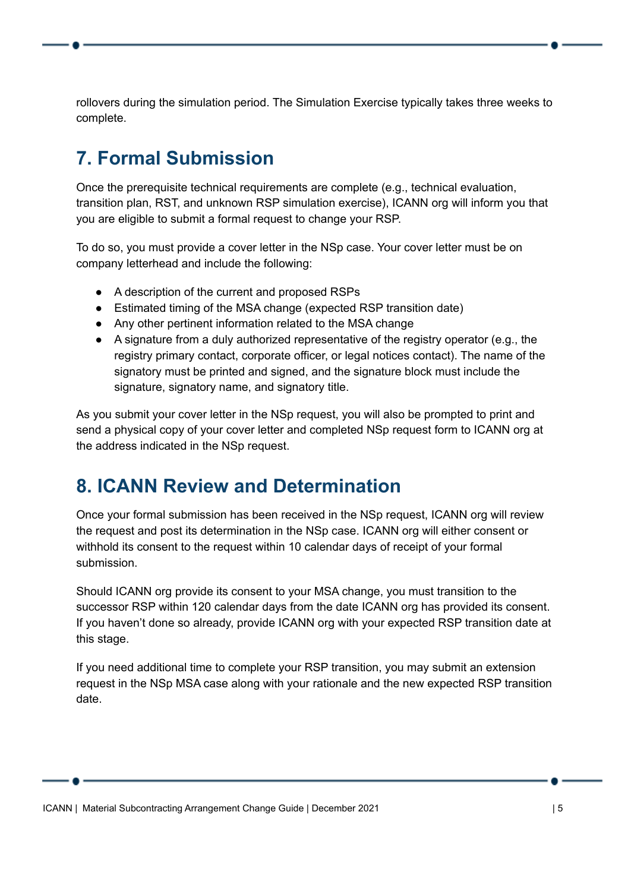rollovers during the simulation period. The Simulation Exercise typically takes three weeks to complete.

#### <span id="page-4-0"></span>**7. Formal Submission**

Once the prerequisite technical requirements are complete (e.g., technical evaluation, transition plan, RST, and unknown RSP simulation exercise), ICANN org will inform you that you are eligible to submit a formal request to change your RSP.

To do so, you must provide a cover letter in the NSp case. Your cover letter must be on company letterhead and include the following:

- A description of the current and proposed RSPs
- Estimated timing of the MSA change (expected RSP transition date)
- Any other pertinent information related to the MSA change
- A signature from a duly authorized representative of the registry operator (e.g., the registry primary contact, corporate officer, or legal notices contact). The name of the signatory must be printed and signed, and the signature block must include the signature, signatory name, and signatory title.

As you submit your cover letter in the NSp request, you will also be prompted to print and send a physical copy of your cover letter and completed NSp request form to ICANN org at the address indicated in the NSp request.

#### <span id="page-4-1"></span>**8. ICANN Review and Determination**

Once your formal submission has been received in the NSp request, ICANN org will review the request and post its determination in the NSp case. ICANN org will either consent or withhold its consent to the request within 10 calendar days of receipt of your formal submission.

Should ICANN org provide its consent to your MSA change, you must transition to the successor RSP within 120 calendar days from the date ICANN org has provided its consent. If you haven't done so already, provide ICANN org with your expected RSP transition date at this stage.

If you need additional time to complete your RSP transition, you may submit an extension request in the NSp MSA case along with your rationale and the new expected RSP transition date.